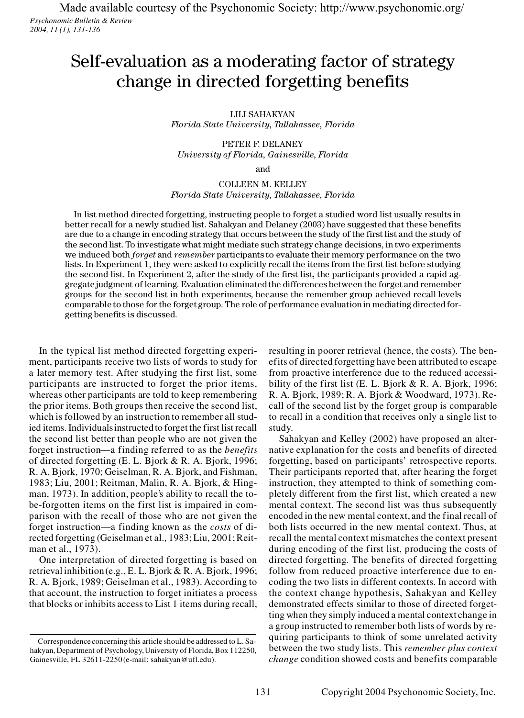*Psychonomic Bulletin & Review 2004, 11 (1), 131-136* Made available courtesy of the Psychonomic Society:<http://www.psychonomic.org/>

# Self-evaluation as a moderating factor of strategy change in directed forgetting benefits

LILI SAHAKYAN

*Florida State University, Tallahassee, Florida*

PETER F. DELANEY *University of Florida, Gainesville, Florida*

and

## COLLEEN M. KELLEY *Florida State University, Tallahassee, Florida*

In list method directed forgetting, instructing people to forget a studied word list usually results in better recall for a newly studied list. Sahakyan and Delaney (2003) have suggested that these benefits are due to a change in encoding strategy that occurs between the study of the first list and the study of the second list. To investigate what might mediate such strategy change decisions, in two experiments we induced both *forget* and *remember* participants to evaluate their memory performance on the two the second list. To investigate what might mediate such strategy change decisions, in two experiments we induced both *forget* and *remember* participants to evaluate their memory performance on the two lists. In Experimen we induced both *forget* and *remember* participants to evaluate their memory performance on the two<br>lists. In Experiment 1, they were asked to explicitly recall the items from the first list before studying<br>the second lis gregate judgment of learning. Evaluation eliminated the differences between the forget and remember groups for the second list in both experiments, because the remember group achieved recall levels comparable to those for the forget group. The role of performance evaluation in mediating directed forgetting benefits is discussed.

In the typical list method directed forgetting experiment, participants receive two lists of words to study for a later memory test. After studying the first list, some participants are instructed to forget the prior items, whereas other participants are told to keep remembering the prior items. Both groups then receive the second list, which is followed by an instruction to remember all studied items. Individuals instructed to forget the first list recall the second list better than people who are not given the forget instruction—a finding referred to as the *benefits* the second list better than people who are not given the forget instruction—a finding referred to as the *benefits* of directed forgetting (E. L. Bjork & R. A. Bjork, 1996;  $R = \lambda$  Biork, 1970; Geiselman B.  $\lambda$  Biork and E forget instruction—a finding referred to as the *benefits*<br>of directed forgetting (E. L. Bjork & R. A. Bjork, 1996;<br>R. A. Bjork, 1970; Geiselman, R. A. Bjork, and Fishman,<br>1983: Lin, 2001; Beitman, Malin, B. A. Bjork, & Hi of directed forgetting (E. L. Bjork & R. A. Bjork, 1996;<br>R. A. Bjork, 1970; Geiselman, R. A. Bjork, and Fishman, 1983; Liu, 2001; Reitman, Malin, R. A. Bjork, & Hingman, 1973). In addition, people's ability to recall the tobe-forgotten items on the first list is impaired in comparison with the recall of those who are not given the forget instruction—a finding known as the *costs* of diparison with the recall of those who are not given the forget instruction—a finding known as the *costs* of di-<br>rected forgetting (Geiselman et al., 1983; Liu, 2001; Reit-Finance instruction—<br>rected forgetting (Go<br>man et al., 1973).

One interpretation of directed forgetting is based on retrieval inhibition (e.g., E. L. Bjork & R. A. Bjork, 1996; One interpretation of directed forgetting is based on<br>retrieval inhibition (e.g., E. L. Bjork & R. A. Bjork, 1996;<br>R. A. Bjork, 1989; Geiselman et al., 1983). According to<br>c. that account, the instruction to forget initiates a process R. A. Bjork, 1989; Geiselman et al., 1983). According to that account, the instruction to forget initiates a process that blocks or inhibits access to List 1 items during recall,

resulting in poorer retrieval (hence, the costs). The benefits of directed forgetting have been attributed to escape<br>from proactive interference due to the reduced accessi-<br>bility of the first list (E. L. Bjork & R. A. Bjork, 1996;<br> $\frac{1000 \text{ Pa} \cdot \text{R}}{2000 \text{ Pa} \cdot \text{B}}$ from proactive interference due to the reduced accessi-R. A. Bjork, 1989; R. A. Bjork & Woodward, 1973). Recall of the second list by the forget group is comparable to recall in a condition that receives only a single list to study.

Sahakyan and Kelley (2002) have proposed an alternative explanation for the costs and benefits of directed forgetting, based on participants' retrospective reports. Their participants reported that, after hearing the forget instruction, they attempted to think of something completely different from the first list, which created a new mental context. The second list was thus subsequently encoded in the new mental context, and the final recall of both lists occurred in the new mental context. Thus, at recall the mental context mismatches the context present during encoding of the first list, producing the costs of directed forgetting. The benefits of directed forgetting follow from reduced proactive interference due to encoding the two lists in different contexts. In accord with the context change hypothesis, Sahakyan and Kelley demonstrated effects similar to those of directed forgetting when they simply induced a mental context change in a group instructed to remember both lists of words by requiring participants to think of some unrelated activity between the two study lists. This *remember plus context change* condition showed costs and benefits comparable

Correspondence concerning this article should be addressed to L. Sahakyan, Department of Psychology, University of Florida, Box 112250, Gainesville, FL 32611-2250 (e-mail: sahakyan@ufl.edu).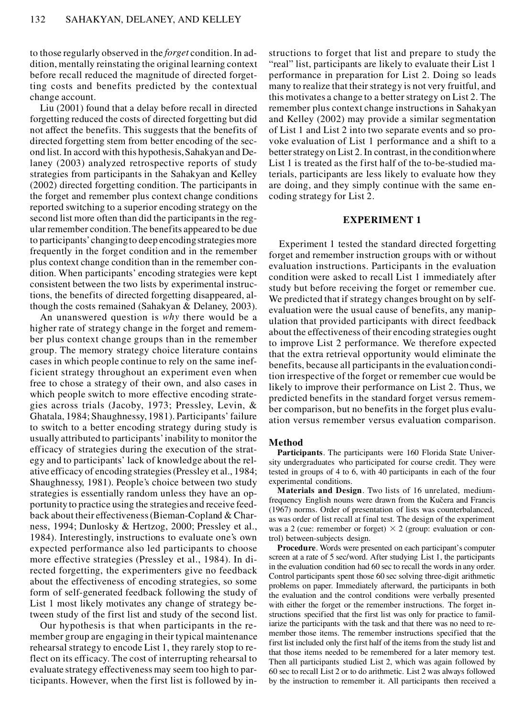to those regularly observed in the *forget* condition. In addition, mentally reinstating the original learning context before recall reduced the magnitude of directed forgetting costs and benefits predicted by the contextual change account.

Liu (2001) found that a delay before recall in directed forgetting reduced the costs of directed forgetting but did not affect the benefits. This suggests that the benefits of directed forgetting stem from better encoding of the second list. In accord with this hypothesis, Sahakyan and Delaney (2003) analyzed retrospective reports of study strategies from participants in the Sahakyan and Kelley (2002) directed forgetting condition. The participants in the forget and remember plus context change conditions reported switching to a superior encoding strategy on the second list more often than did the participants in the regular remember condition. The benefits appeared to be due to participants'changing to deep encoding strategies more frequently in the forget condition and in the remember plus context change condition than in the remember condition. When participants' encoding strategies were kept consistent between the two lists by experimental instructions, the benefits of directed forgetting disappeared, although the costs remained (Sahakyan & Delaney, 2003).

An unanswered question is *why* there would be a higher rate of strategy change in the forget and remember plus context change groups than in the remember group. The memory strategy choice literature contains cases in which people continue to rely on the same inefficient strategy throughout an experiment even when free to chose a strategy of their own, and also cases in which people switch to more effective encoding strategies across trials (Jacoby, 1973; Pressley, Levin, & Ghatala, 1984; Shaughnessy, 1981). Participants' failure to switch to a better encoding strategy during study is usually attributed to participants'inability to monitor the efficacy of strategies during the execution of the strategy and to participants' lack of knowledge about the relative efficacy of encoding strategies (Pressley et al., 1984; Shaughnessy, 1981). People's choice between two study strategies is essentially random unless they have an opportunity to practice using the strategies and receive feedback about their effectiveness (Bieman-Copland & Charness, 1994; Dunlosky & Hertzog, 2000; Pressley et al., 1984). Interestingly, instructions to evaluate one's own expected performance also led participants to choose more effective strategies (Pressley et al., 1984). In directed forgetting, the experimenters give no feedback about the effectiveness of encoding strategies, so some form of self-generated feedback following the study of List 1 most likely motivates any change of strategy between study of the first list and study of the second list.

Our hypothesis is that when participants in the remember group are engaging in their typical maintenance rehearsal strategy to encode List 1, they rarely stop to reflect on its efficacy. The cost of interrupting rehearsal to evaluate strategy effectiveness may seem too high to participants. However, when the first list is followed by in-

structions to forget that list and prepare to study the "real" list, participants are likely to evaluate their List 1 performance in preparation for List 2. Doing so leads many to realize that their strategy is not very fruitful, and this motivates a change to a better strategy on List 2. The remember plus context change instructions in Sahakyan and Kelley (2002) may provide a similar segmentation of List 1 and List 2 into two separate events and so provoke evaluation of List 1 performance and a shift to a better strategy on List 2. In contrast, in the condition where List 1 is treated as the first half of the to-be-studied materials, participants are less likely to evaluate how they are doing, and they simply continue with the same encoding strategy for List 2.

## **EXPERIMENT 1**

Experiment 1 tested the standard directed forgetting forget and remember instruction groups with or without evaluation instructions. Participants in the evaluation condition were asked to recall List 1 immediately after study but before receiving the forget or remember cue. We predicted that if strategy changes brought on by selfevaluation were the usual cause of benefits, any manipulation that provided participants with direct feedback about the effectiveness of their encoding strategies ought to improve List 2 performance. We therefore expected that the extra retrieval opportunity would eliminate the benefits, because all participants in the evaluation condition irrespective of the forget or remember cue would be likely to improve their performance on List 2. Thus, we predicted benefits in the standard forget versus remember comparison, but no benefits in the forget plus evaluation versus remember versus evaluation comparison.

#### **Method**

**Participants**. The participants were 160 Florida State University undergraduates who participated for course credit. They were tested in groups of 4 to 6, with 40 participants in each of the four experimental conditions.

**Materials and Design**. Two lists of 16 unrelated, mediumfrequency English nouns were drawn from the Kučera and Francis (1967) norms. Order of presentation of lists was counterbalanced, as was order of list recall at final test. The design of the experiment was a 2 (cue: remember or forget)  $\times$  2 (group: evaluation or control) between-subjects design.

**Procedure**. Words were presented on each participant's computer screen at a rate of 5 sec/word. After studying List 1, the participants in the evaluation condition had 60 sec to recall the words in any order. Control participants spent those 60 sec solving three-digit arithmetic problems on paper. Immediately afterward, the participants in both the evaluation and the control conditions were verbally presented with either the forget or the remember instructions. The forget instructions specified that the first list was only for practice to familiarize the participants with the task and that there was no need to re member those items. The remember instructions specified that the first list included only the first half of the items from the study list and that those items needed to be remembered for a later memory test. Then all participants studied List 2, which was again followed by 60 sec to recall List 2 or to do arithmetic. List 2 was always followed by the instruction to remember it. All participants then received a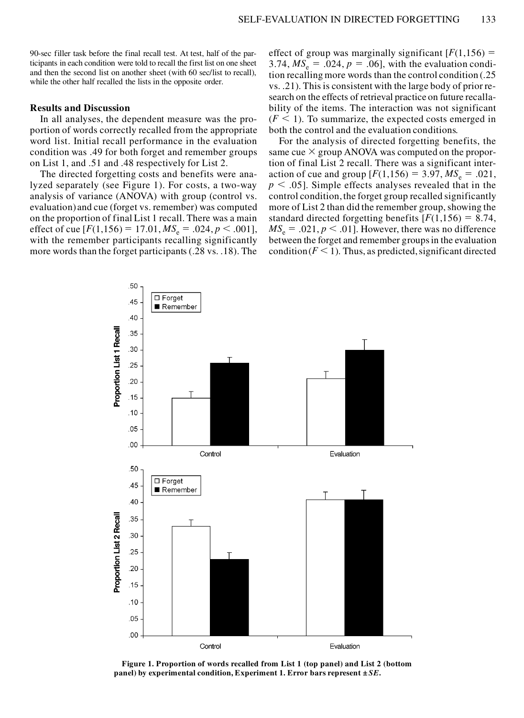90-sec filler task before the final recall test. At test, half of the participants in each condition were told to recall the first list on one sheet and then the second list on another sheet (with 60 sec/list to recall), while the other half recalled the lists in the opposite order.

## **Results and Discussion**

In all analyses, the dependent measure was the proportion of words correctly recalled from the appropriate word list. Initial recall performance in the evaluation condition was .49 for both forget and remember groups on List 1, and .51 and .48 respectively for List 2.

The directed forgetting costs and benefits were analyzed separately (see Figure 1). For costs, a two-way analysis of variance (ANOVA) with group (control vs. evaluation) and cue (forget vs. remember) was computed on the proportion of final List 1 recall. There was a main effect of cue  $[F(1,156) = 17.01, MS_e = .024, p < .001]$ , with the remember participants recalling significantly more words than the forget participants (.28 vs. .18). The

effect of group was marginally significant  $[F(1,156) =$ 3.74,  $MS_e = .024$ ,  $p = .06$ , with the evaluation condition recalling more words than the control condition (.25 vs. .21). This is consistent with the large body of prior research on the effects of retrieval practice on future recallability of the items. The interaction was not significant  $(F \leq 1)$ . To summarize, the expected costs emerged in both the control and the evaluation conditions.

For the analysis of directed forgetting benefits, the same cue  $\times$  group ANOVA was computed on the proportion of final List 2 recall. There was a significant interaction of cue and group  $[F(1,156) = 3.97, MS_e = .021,$  $p < .05$ ]. Simple effects analyses revealed that in the control condition, the forget group recalled significantly more of List 2 than did the remember group, showing the standard directed forgetting benefits  $[F(1,156) = 8.74,$  $MS_e = .021, p < .01$ . However, there was no difference between the forget and remember groups in the evaluation condition  $(F \leq 1)$ . Thus, as predicted, significant directed



**Figure 1. Proportion of words recalled from List 1 (top panel) and List 2 (bottom panel) by experimental condition, Experiment 1. Error bars represent ±** *SE***.**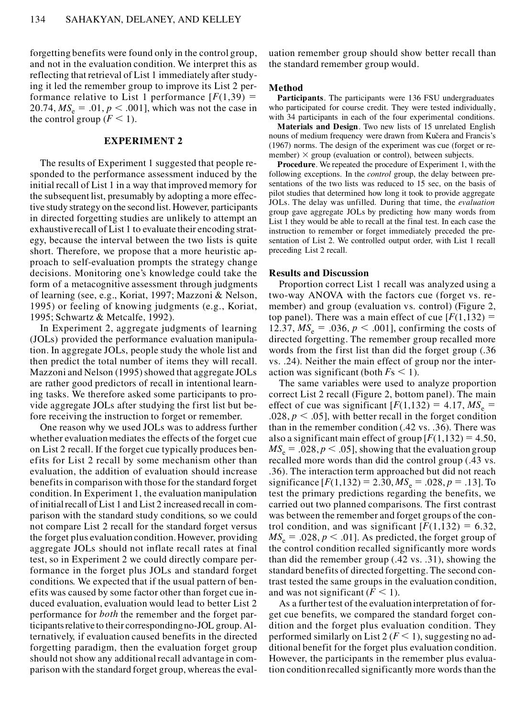forgetting benefits were found only in the control group, and not in the evaluation condition. We interpret this as reflecting that retrieval of List 1 immediately after studying it led the remember group to improve its List 2 performance relative to List 1 performance  $F(1,39) =$  $20.74, MS_e = .01, p < .001$ , which was not the case in the control group  $(F < 1)$ .

# **EXPERIMENT 2**

The results of Experiment 1 suggested that people responded to the performance assessment induced by the initial recall of List 1 in a way that improved memory for the subsequent list, presumably by adopting a more effective study strategy on the second list. However, participants in directed forgetting studies are unlikely to attempt an exhaustive recall of List 1 to evaluate their encoding strategy, because the interval between the two lists is quite short. Therefore, we propose that a more heuristic approach to self-evaluation prompts the strategy change decisions. Monitoring one's knowledge could take the form of a metacognitive assessment through judgments of learning (see, e.g., Koriat, 1997; Mazzoni & Nelson, 1995) or feeling of knowing judgments (e.g., Koriat, 1995; Schwartz & Metcalfe, 1992).

In Experiment 2, aggregate judgments of learning (JOLs) provided the performance evaluation manipulation. In aggregate JOLs, people study the whole list and then predict the total number of items they will recall. Mazzoni and Nelson (1995) showed that aggregate JOLs are rather good predictors of recall in intentional learning tasks. We therefore asked some participants to provide aggregate JOLs after studying the first list but before receiving the instruction to forget or remember.

One reason why we used JOLs was to address further whether evaluation mediates the effects of the forget cue on List 2 recall. If the forget cue typically produces benefits for List 2 recall by some mechanism other than evaluation, the addition of evaluation should increase benefits in comparison with those for the standard forget condition.In Experiment 1, the evaluation manipulation of initial recall of List 1 and List 2 increased recall in comparison with the standard study conditions, so we could not compare List 2 recall for the standard forget versus the forget plus evaluation condition.However, providing aggregate JOLs should not inflate recall rates at final test, so in Experiment 2 we could directly compare performance in the forget plus JOLs and standard forget conditions. We expected that if the usual pattern of benefits was caused by some factor other than forget cue induced evaluation, evaluation would lead to better List 2 performance for *both* the remember and the forget participants relative to their corresponding no-JOL group. Alternatively, if evaluation caused benefits in the directed forgetting paradigm, then the evaluation forget group should not show any additional recall advantage in comparison with the standard forget group, whereas the evaluation remember group should show better recall than the standard remember group would.

#### **Method**

**Participants**. The participants were 136 FSU undergraduates who participated for course credit. They were tested individually, with 34 participants in each of the four experimental conditions.

**Materials and Design**. Two new lists of 15 unrelated English nouns of medium frequency were drawn from Kučera and Francis's (1967) norms. The design of the experiment was cue (forget or re member)  $\times$  group (evaluation or control), between subjects.

**Procedure**. We repeated the procedure of Experiment 1, with the following exceptions. In the *control* group, the delay between presentations of the two lists was reduced to 15 sec, on the basis of pilot studies that determined how long it took to provide aggregate JOLs. The delay was unfilled. During that time, the *evaluation* group gave aggregate JOLs by predicting how many words from List 1 they would be able to recall at the final test. In each case the instruction to remember or forget immediately preceded the presentation of List 2. We controlled output order, with List 1 recall preceding List 2 recall.

#### **Results and Discussion**

Proportion correct List 1 recall was analyzed using a two-way ANOVA with the factors cue (forget vs. remember) and group (evaluation vs. control) (Figure 2, top panel). There was a main effect of cue  $[F(1,132) =$ 12.37,  $MS_e = .036$ ,  $p < .001$ ], confirming the costs of directed forgetting. The remember group recalled more words from the first list than did the forget group (.36 vs. .24). Neither the main effect of group nor the interaction was significant (both  $Fs < 1$ ).

The same variables were used to analyze proportion correct List 2 recall (Figure 2, bottom panel). The main effect of cue was significant  $[F(1,132) = 4.17, MS_e =$  $.028, p \le .05$ , with better recall in the forget condition than in the remember condition (.42 vs. .36). There was also a significant main effect of group  $[F(1,132) = 4.50]$ ,  $MS_e = .028, p < .05$ , showing that the evaluation group recalled more words than did the control group (.43 vs. .36). The interaction term approached but did not reach significance  $[F(1,132) = 2.30, MS_e = .028, p = .13]$ . To test the primary predictions regarding the benefits, we carried out two planned comparisons. The first contrast was between the remember and forget groups of the control condition, and was significant  $[F(1,132) = 6.32]$ ,  $MS_e = .028, p < .01$ . As predicted, the forget group of the control condition recalled significantly more words than did the remember group (.42 vs. .31), showing the standard benefits of directed forgetting. The second contrast tested the same groups in the evaluation condition, and was not significant  $(F < 1)$ .

As a further test of the evaluation interpretation of forget cue benefits, we compared the standard forget condition and the forget plus evaluation condition. They performed similarly on List  $2 (F < 1)$ , suggesting no additional benefit for the forget plus evaluation condition. However, the participants in the remember plus evaluation condition recalled significantly more words than the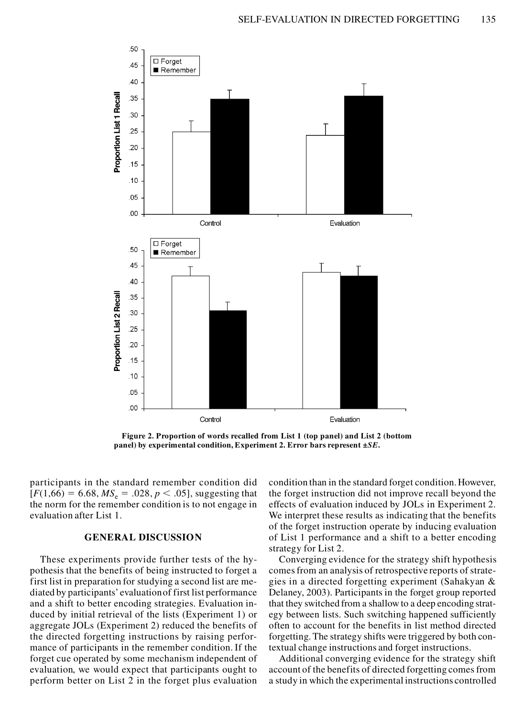

**Figure 2. Proportion of words recalled from List 1 (top panel) and List 2 (bottom panel) by experimental condition, Experiment 2. Error bars represent ±***SE***.**

participants in the standard remember condition did  $[F(1,66) = 6.68, MS_e = .028, p < .05]$ , suggesting that the norm for the remember condition is to not engage in evaluation after List 1.

# **GENERAL DISCUSSION**

These experiments provide further tests of the hypothesis that the benefits of being instructed to forget a first list in preparation for studying a second list are mediated by participants' evaluation of first list performance and a shift to better encoding strategies. Evaluation induced by initial retrieval of the lists (Experiment 1) or aggregate JOLs (Experiment 2) reduced the benefits of the directed forgetting instructions by raising performance of participants in the remember condition. If the forget cue operated by some mechanism independent of evaluation, we would expect that participants ought to perform better on List 2 in the forget plus evaluation condition than in the standard forget condition. However, the forget instruction did not improve recall beyond the effects of evaluation induced by JOLs in Experiment 2. We interpret these results as indicating that the benefits of the forget instruction operate by inducing evaluation of List 1 performance and a shift to a better encoding strategy for List 2.

Converging evidence for the strategy shift hypothesis comes from an analysis of retrospective reports of strategies in a directed forgetting experiment (Sahakyan & Delaney, 2003). Participants in the forget group reported that they switched from a shallow to a deep encoding strategy between lists. Such switching happened sufficiently often to account for the benefits in list method directed forgetting. The strategy shifts were triggered by both contextual change instructions and forget instructions.

Additional converging evidence for the strategy shift account of the benefits of directed forgetting comes from a study in which the experimental instructions controlled